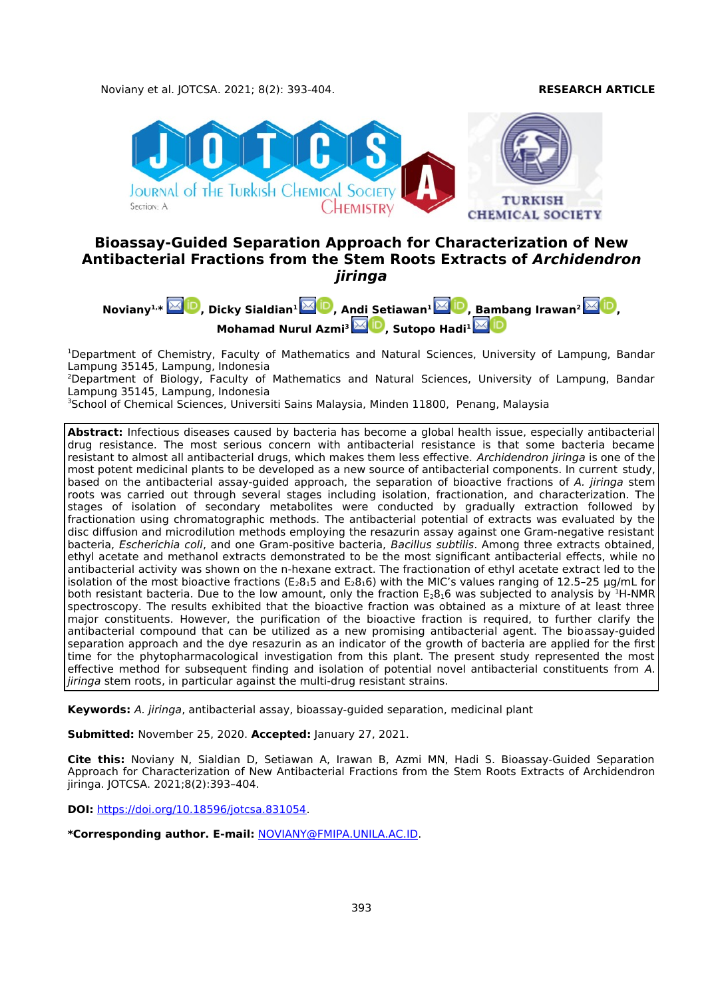

# **Bioassay-Guided Separation Approach for Characterization of New Antibacterial Fractions from the Stem Roots Extracts of Archidendron jiringa**



<sup>1</sup>Department of Chemistry, Faculty of Mathematics and Natural Sciences, University of Lampung, Bandar Lampung 35145, Lampung, Indonesia

<sup>2</sup>Department of Biology, Faculty of Mathematics and Natural Sciences, University of Lampung, Bandar Lampung 35145, Lampung, Indonesia

<sup>3</sup>School of Chemical Sciences, Universiti Sains Malaysia, Minden 11800, Penang, Malaysia

**Abstract:** Infectious diseases caused by bacteria has become a global health issue, especially antibacterial drug resistance. The most serious concern with antibacterial resistance is that some bacteria became resistant to almost all antibacterial drugs, which makes them less effective. Archidendron jiringa is one of the most potent medicinal plants to be developed as a new source of antibacterial components. In current study, based on the antibacterial assay-guided approach, the separation of bioactive fractions of A. jiringa stem roots was carried out through several stages including isolation, fractionation, and characterization. The stages of isolation of secondary metabolites were conducted by gradually extraction followed by fractionation using chromatographic methods. The antibacterial potential of extracts was evaluated by the disc diffusion and microdilution methods employing the resazurin assay against one Gram-negative resistant bacteria, Escherichia coli, and one Gram-positive bacteria, Bacillus subtilis. Among three extracts obtained, ethyl acetate and methanol extracts demonstrated to be the most significant antibacterial effects, while no antibacterial activity was shown on the n-hexane extract. The fractionation of ethyl acetate extract led to the isolation of the most bioactive fractions ( $E_28_15$  and  $E_28_16$ ) with the MIC's values ranging of 12.5–25 µg/mL for both resistant bacteria. Due to the low amount, only the fraction  $E_28_16$  was subjected to analysis by <sup>1</sup>H-NMR spectroscopy. The results exhibited that the bioactive fraction was obtained as a mixture of at least three major constituents. However, the purification of the bioactive fraction is required, to further clarify the antibacterial compound that can be utilized as a new promising antibacterial agent. The bioassay-guided separation approach and the dye resazurin as an indicator of the growth of bacteria are applied for the first time for the phytopharmacological investigation from this plant. The present study represented the most effective method for subsequent finding and isolation of potential novel antibacterial constituents from A. jiringa stem roots, in particular against the multi-drug resistant strains.

**Keywords:** A. jiringa, antibacterial assay, bioassay-guided separation, medicinal plant

**Submitted:** November 25, 2020. **Accepted:** January 27, 2021.

**Cite this:** Noviany N, Sialdian D, Setiawan A, Irawan B, Azmi MN, Hadi S. Bioassay-Guided Separation Approach for Characterization of New Antibacterial Fractions from the Stem Roots Extracts of Archidendron jiringa. JOTCSA. 2021;8(2):393–404.

**DOI:** [https://doi.org/10.18596/jotcsa.831054.](https://doi.org/10.18596/jotcsa.831054)

**\*Corresponding author. E-mail:** [NOVIANY@FMIPA.UNILA.AC.ID.](mailto:NOVIANY@FMIPA.UNILA.AC.ID)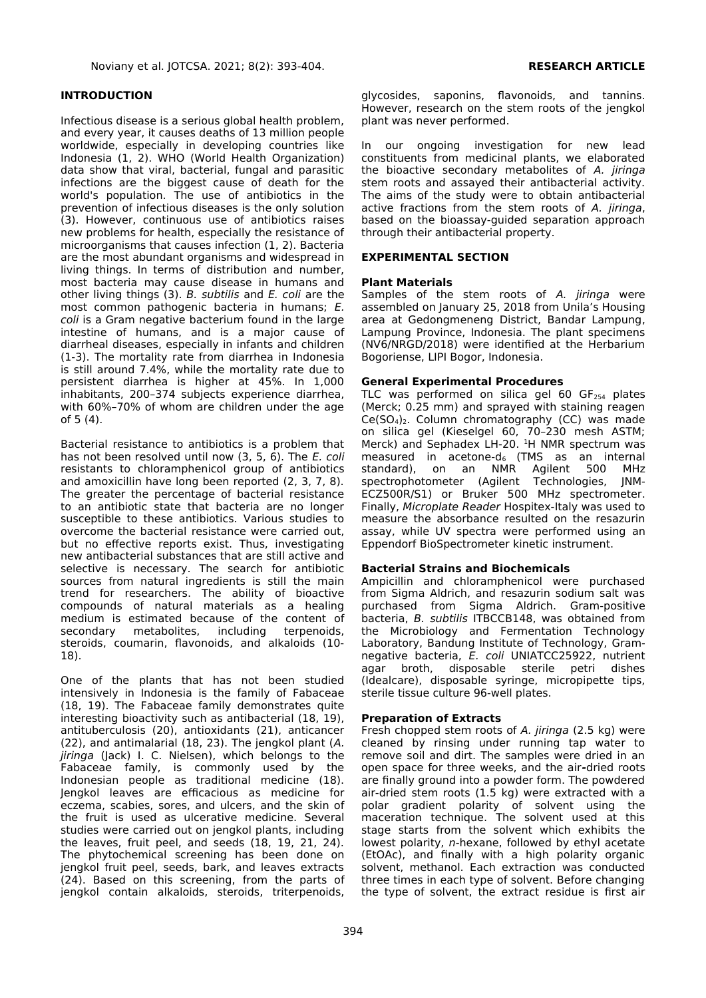# **INTRODUCTION**

Infectious disease is a serious global health problem, and every year, it causes deaths of 13 million people worldwide, especially in developing countries like Indonesia (1, 2). WHO (World Health Organization) data show that viral, bacterial, fungal and parasitic infections are the biggest cause of death for the world's population. The use of antibiotics in the prevention of infectious diseases is the only solution (3). However, continuous use of antibiotics raises new problems for health, especially the resistance of microorganisms that causes infection (1, 2). Bacteria are the most abundant organisms and widespread in living things. In terms of distribution and number, most bacteria may cause disease in humans and other living things (3). B. subtilis and E. coli are the most common pathogenic bacteria in humans; E. coli is a Gram negative bacterium found in the large intestine of humans, and is a major cause of diarrheal diseases, especially in infants and children (1-3). The mortality rate from diarrhea in Indonesia is still around 7.4%, while the mortality rate due to persistent diarrhea is higher at 45%. In 1,000 inhabitants, 200–374 subjects experience diarrhea, with 60%–70% of whom are children under the age of 5 (4).

Bacterial resistance to antibiotics is a problem that has not been resolved until now (3, 5, 6). The E. coli resistants to chloramphenicol group of antibiotics and amoxicillin have long been reported (2, 3, 7, 8). The greater the percentage of bacterial resistance to an antibiotic state that bacteria are no longer susceptible to these antibiotics. Various studies to overcome the bacterial resistance were carried out, but no effective reports exist. Thus, investigating new antibacterial substances that are still active and selective is necessary. The search for antibiotic sources from natural ingredients is still the main trend for researchers. The ability of bioactive compounds of natural materials as a healing medium is estimated because of the content of secondary metabolites, including terpenoids, steroids, coumarin, flavonoids, and alkaloids (10- 18).

One of the plants that has not been studied intensively in Indonesia is the family of Fabaceae (18, 19). The Fabaceae family demonstrates quite interesting bioactivity such as antibacterial (18, 19), antituberculosis (20), antioxidants (21), anticancer (22), and antimalarial (18, 23). The jengkol plant (A. jiringa (Jack) I. C. Nielsen), which belongs to the Fabaceae family, is commonly used by the Indonesian people as traditional medicine (18). Jengkol leaves are efficacious as medicine for eczema, scabies, sores, and ulcers, and the skin of the fruit is used as ulcerative medicine. Several studies were carried out on jengkol plants, including the leaves, fruit peel, and seeds (18, 19, 21, 24). The phytochemical screening has been done on jengkol fruit peel, seeds, bark, and leaves extracts (24). Based on this screening, from the parts of jengkol contain alkaloids, steroids, triterpenoids,

glycosides, saponins, flavonoids, and tannins. However, research on the stem roots of the jengkol plant was never performed.

In our ongoing investigation for new lead constituents from medicinal plants, we elaborated the bioactive secondary metabolites of A. jiringa stem roots and assayed their antibacterial activity. The aims of the study were to obtain antibacterial active fractions from the stem roots of A. jiringa, based on the bioassay-guided separation approach through their antibacterial property.

# **EXPERIMENTAL SECTION**

### **Plant Materials**

Samples of the stem roots of A. jiringa were assembled on January 25, 2018 from Unila's Housing area at Gedongmeneng District, Bandar Lampung, Lampung Province, Indonesia. The plant specimens (NV6/NRGD/2018) were identified at the Herbarium Bogoriense, LIPI Bogor, Indonesia.

### **General Experimental Procedures**

TLC was performed on silica gel 60  $GF<sub>254</sub>$  plates (Merck; 0.25 mm) and sprayed with staining reagen  $Ce(SO<sub>4</sub>)<sub>2</sub>$ . Column chromatography (CC) was made on silica gel (Kieselgel 60, 70–230 mesh ASTM; Merck) and Sephadex LH-20. <sup>1</sup>H NMR spectrum was measured in acetone-d $_6$  (TMS as an internal standard), on an NMR Agilent 500 MHz spectrophotometer (Agilent Technologies, JNM-ECZ500R/S1) or Bruker 500 MHz spectrometer. Finally, Microplate Reader Hospitex-Italy was used to measure the absorbance resulted on the resazurin assay, while UV spectra were performed using an Eppendorf BioSpectrometer kinetic instrument.

#### **Bacterial Strains and Biochemicals**

Ampicillin and chloramphenicol were purchased from Sigma Aldrich, and resazurin sodium salt was purchased from Sigma Aldrich. Gram-positive bacteria, B. subtilis ITBCCB148, was obtained from the Microbiology and Fermentation Technology Laboratory, Bandung Institute of Technology, Gramnegative bacteria, E. coli UNIATCC25922, nutrient agar broth, disposable sterile petri dishes (Idealcare), disposable syringe, micropipette tips, sterile tissue culture 96-well plates.

#### **Preparation of Extracts**

Fresh chopped stem roots of A. jiringa (2.5 kg) were cleaned by rinsing under running tap water to remove soil and dirt. The samples were dried in an open space for three weeks, and the air**-**dried roots are finally ground into a powder form. The powdered air-dried stem roots (1.5 kg) were extracted with a polar gradient polarity of solvent using the maceration technique. The solvent used at this stage starts from the solvent which exhibits the lowest polarity, n-hexane, followed by ethyl acetate (EtOAc), and finally with a high polarity organic solvent, methanol. Each extraction was conducted three times in each type of solvent. Before changing the type of solvent, the extract residue is first air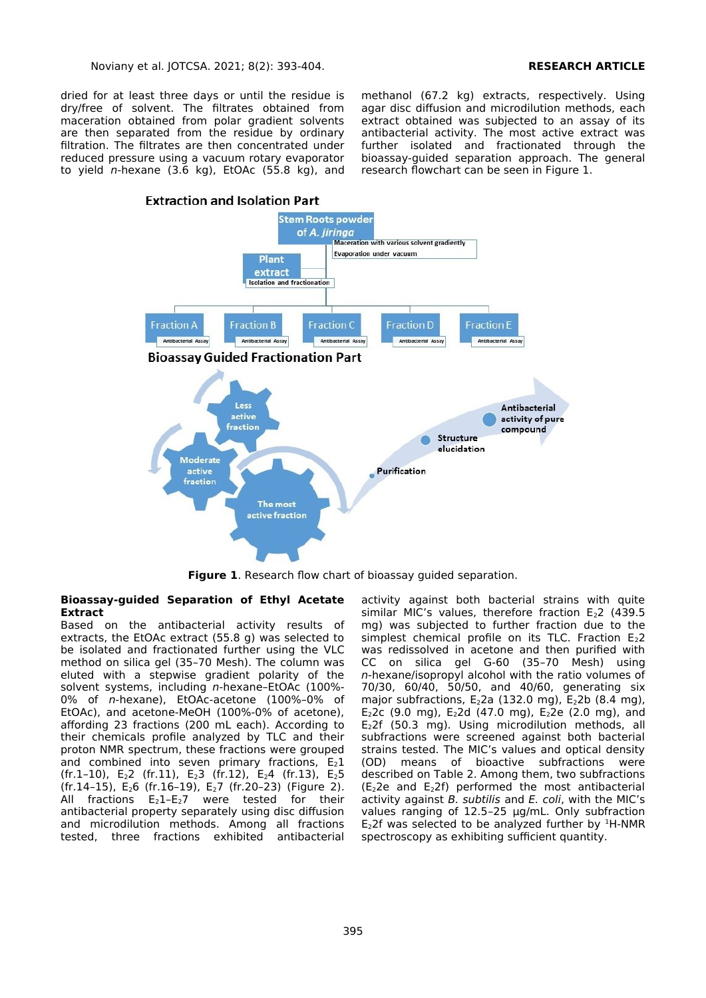dried for at least three days or until the residue is dry/free of solvent. The filtrates obtained from maceration obtained from polar gradient solvents are then separated from the residue by ordinary filtration. The filtrates are then concentrated under reduced pressure using a vacuum rotary evaporator to yield n-hexane  $(3.6 \text{ kg})$ , EtOAc  $(55.8 \text{ kg})$ , and

methanol (67.2 kg) extracts, respectively. Using agar disc diffusion and microdilution methods, each extract obtained was subjected to an assay of its antibacterial activity. The most active extract was further isolated and fractionated through the bioassay-guided separation approach. The general research flowchart can be seen in Figure 1.



**Figure 1**. Research flow chart of bioassay guided separation.

### **Bioassay-guided Separation of Ethyl Acetate Extract**

Based on the antibacterial activity results of extracts, the EtOAc extract (55.8 g) was selected to be isolated and fractionated further using the VLC method on silica gel (35–70 Mesh). The column was eluted with a stepwise gradient polarity of the solvent systems, including n-hexane–EtOAc (100%- 0% of n-hexane), EtOAc-acetone (100%–0% of EtOAc), and acetone-MeOH (100%-0% of acetone), affording 23 fractions (200 mL each). According to their chemicals profile analyzed by TLC and their proton NMR spectrum, these fractions were grouped and combined into seven primary fractions,  $E_2 1$ (fr.1–10), E<sub>2</sub>2 (fr.11), E<sub>2</sub>3 (fr.12), E<sub>2</sub>4 (fr.13), E<sub>2</sub>5 (fr.14–15), E26 (fr.16–19), E27 (fr.20–23) (Figure 2). All fractions  $E_2$ 1- $E_2$ 7 were tested for their antibacterial property separately using disc diffusion and microdilution methods. Among all fractions tested, three fractions exhibited antibacterial

activity against both bacterial strains with quite similar MIC's values, therefore fraction  $E_2$ 2 (439.5 mg) was subjected to further fraction due to the simplest chemical profile on its TLC. Fraction  $E_2$ 2 was redissolved in acetone and then purified with CC on silica gel G-60 (35–70 Mesh) using n-hexane/isopropyl alcohol with the ratio volumes of 70/30, 60/40, 50/50, and 40/60, generating six major subfractions,  $E_2$ 2a (132.0 mg),  $E_2$ 2b (8.4 mg), E<sub>2</sub>2c (9.0 mg), E<sub>2</sub>2d (47.0 mg), E<sub>2</sub>2e (2.0 mg), and E22f (50.3 mg). Using microdilution methods, all subfractions were screened against both bacterial strains tested. The MIC's values and optical density (OD) means of bioactive subfractions were described on Table 2. Among them, two subfractions (E22e and E22f) performed the most antibacterial activity against  $B$ . subtilis and  $E$ . coli, with the MIC's values ranging of 12.5–25 µg/mL. Only subfraction E<sub>2</sub>2f was selected to be analyzed further by  $1H-MMR$ spectroscopy as exhibiting sufficient quantity.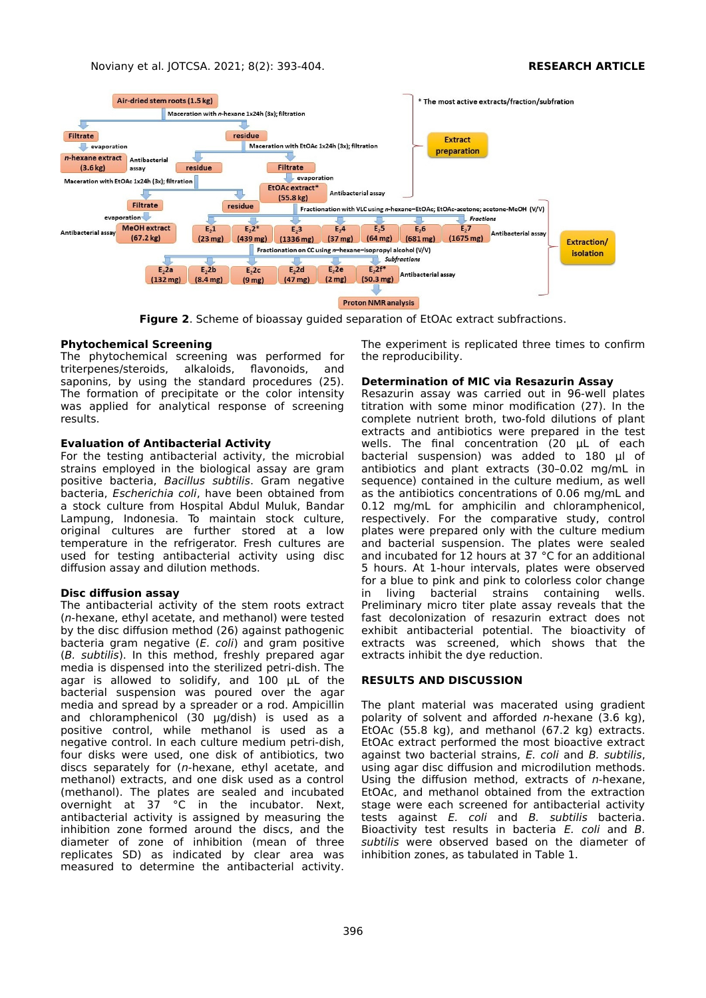

**Figure 2**. Scheme of bioassay guided separation of EtOAc extract subfractions.

### **Phytochemical Screening**

The phytochemical screening was performed for triterpenes/steroids, alkaloids, flavonoids, and saponins, by using the standard procedures (25). The formation of precipitate or the color intensity was applied for analytical response of screening results.

### **Evaluation of Antibacterial Activity**

For the testing antibacterial activity, the microbial strains employed in the biological assay are gram positive bacteria, Bacillus subtilis. Gram negative bacteria, Escherichia coli, have been obtained from a stock culture from Hospital Abdul Muluk, Bandar Lampung, Indonesia. To maintain stock culture, original cultures are further stored at a low temperature in the refrigerator. Fresh cultures are used for testing antibacterial activity using disc diffusion assay and dilution methods.

# **Disc diffusion assay**

The antibacterial activity of the stem roots extract (n-hexane, ethyl acetate, and methanol) were tested by the disc diffusion method (26) against pathogenic bacteria gram negative (E. coli) and gram positive (B. subtilis). In this method, freshly prepared agar media is dispensed into the sterilized petri-dish. The agar is allowed to solidify, and 100 µL of the bacterial suspension was poured over the agar media and spread by a spreader or a rod. Ampicillin and chloramphenicol (30 µg/dish) is used as a positive control, while methanol is used as a negative control. In each culture medium petri-dish, four disks were used, one disk of antibiotics, two discs separately for (n-hexane, ethyl acetate, and methanol) extracts, and one disk used as a control (methanol). The plates are sealed and incubated overnight at 37 °C in the incubator. Next, antibacterial activity is assigned by measuring the inhibition zone formed around the discs, and the diameter of zone of inhibition (mean of three replicates SD) as indicated by clear area was measured to determine the antibacterial activity.

The experiment is replicated three times to confirm the reproducibility.

### **Determination of MIC via Resazurin Assay**

Resazurin assay was carried out in 96-well plates titration with some minor modification (27). In the complete nutrient broth, two-fold dilutions of plant extracts and antibiotics were prepared in the test wells. The final concentration (20 µL of each bacterial suspension) was added to 180 µl of antibiotics and plant extracts (30–0.02 mg/mL in sequence) contained in the culture medium, as well as the antibiotics concentrations of 0.06 mg/mL and 0.12 mg/mL for amphicilin and chloramphenicol, respectively. For the comparative study, control plates were prepared only with the culture medium and bacterial suspension. The plates were sealed and incubated for 12 hours at 37 °C for an additional 5 hours. At 1-hour intervals, plates were observed for a blue to pink and pink to colorless color change<br>in living bacterial strains containing wells. in living bacterial strains containing wells. Preliminary micro titer plate assay reveals that the fast decolonization of resazurin extract does not exhibit antibacterial potential. The bioactivity of extracts was screened, which shows that the extracts inhibit the dye reduction.

#### **RESULTS AND DISCUSSION**

The plant material was macerated using gradient polarity of solvent and afforded  $n$ -hexane (3.6 kg), EtOAc (55.8 kg), and methanol (67.2 kg) extracts. EtOAc extract performed the most bioactive extract against two bacterial strains, E. coli and B. subtilis, using agar disc diffusion and microdilution methods. Using the diffusion method, extracts of  $n$ -hexane, EtOAc, and methanol obtained from the extraction stage were each screened for antibacterial activity tests against E. coli and B. subtilis bacteria. Bioactivity test results in bacteria E. coli and B. subtilis were observed based on the diameter of inhibition zones, as tabulated in Table 1.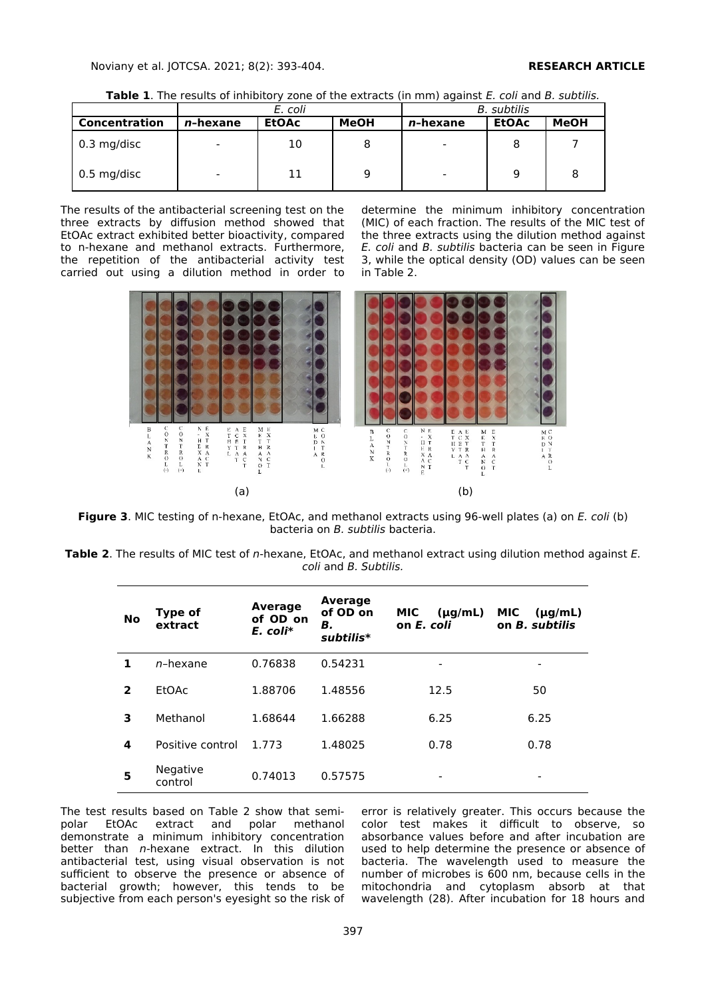**Table 1**. The results of inhibitory zone of the extracts (in mm) against E. coli and B. subtilis.

|               | E. coli                  |              |      | B. subtilis              |              |             |
|---------------|--------------------------|--------------|------|--------------------------|--------------|-------------|
| Concentration | n-hexane                 | <b>EtOAc</b> | MeOH | <i>n</i> -hexane         | <b>EtOAc</b> | <b>MeOH</b> |
| $0.3$ mg/disc | $\overline{\phantom{0}}$ | 10           |      | $\overline{\phantom{0}}$ |              |             |
| $0.5$ mg/disc | $\overline{\phantom{0}}$ | 11           |      | $\overline{\phantom{0}}$ | 9            |             |

The results of the antibacterial screening test on the three extracts by diffusion method showed that EtOAc extract exhibited better bioactivity, compared to n-hexane and methanol extracts. Furthermore, the repetition of the antibacterial activity test carried out using a dilution method in order to

determine the minimum inhibitory concentration (MIC) of each fraction. The results of the MIC test of the three extracts using the dilution method against E. coli and B. subtilis bacteria can be seen in Figure 3, while the optical density (OD) values can be seen in Table 2.



**Figure 3**. MIC testing of n-hexane, EtOAc, and methanol extracts using 96-well plates (a) on E. coli (b) bacteria on B. subtilis bacteria.

**Table 2**. The results of MIC test of n-hexane, EtOAc, and methanol extract using dilution method against E. coli and B. Subtilis.

| No             | Type of<br>extract  | <b>Average</b><br>of OD on<br>E. coli* | Average<br>of OD on<br>В.<br>subtilis* | <b>MIC</b><br>$(\mu q/mL)$<br>on E. coli | <b>MIC</b><br>$(\mu q/mL)$<br>on <i>B.</i> subtilis |
|----------------|---------------------|----------------------------------------|----------------------------------------|------------------------------------------|-----------------------------------------------------|
| 1.             | n-hexane            | 0.76838                                | 0.54231                                | -                                        | -                                                   |
| $\overline{2}$ | <b>EtOAc</b>        | 1.88706                                | 1.48556                                | 12.5                                     | 50                                                  |
| 3              | Methanol            | 1.68644                                | 1.66288                                | 6.25                                     | 6.25                                                |
| 4              | Positive control    | 1.773                                  | 1.48025                                | 0.78                                     | 0.78                                                |
| 5              | Negative<br>control | 0.74013                                | 0.57575                                | -                                        | $\overline{\phantom{a}}$                            |

The test results based on Table 2 show that semipolar EtOAc extract and polar methanol demonstrate a minimum inhibitory concentration better than n-hexane extract. In this dilution antibacterial test, using visual observation is not sufficient to observe the presence or absence of bacterial growth; however, this tends to be subjective from each person's eyesight so the risk of error is relatively greater. This occurs because the color test makes it difficult to observe, so absorbance values before and after incubation are used to help determine the presence or absence of bacteria. The wavelength used to measure the number of microbes is 600 nm, because cells in the mitochondria and cytoplasm absorb at that wavelength (28). After incubation for 18 hours and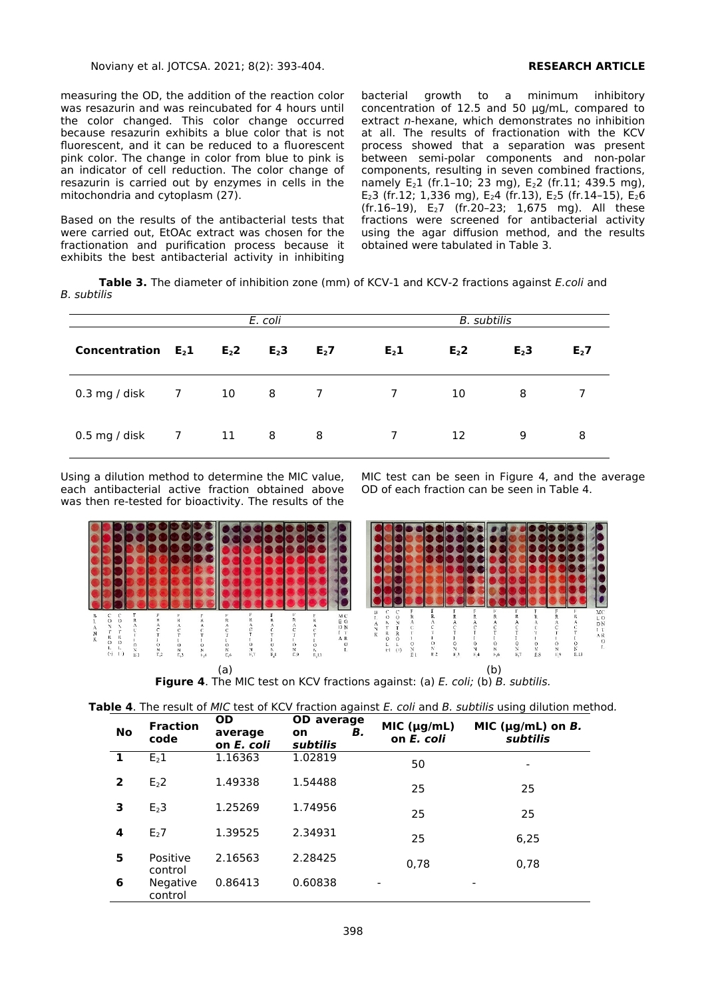measuring the OD, the addition of the reaction color was resazurin and was reincubated for 4 hours until the color changed. This color change occurred because resazurin exhibits a blue color that is not fluorescent, and it can be reduced to a fluorescent pink color. The change in color from blue to pink is an indicator of cell reduction. The color change of resazurin is carried out by enzymes in cells in the mitochondria and cytoplasm (27).

Based on the results of the antibacterial tests that were carried out, EtOAc extract was chosen for the fractionation and purification process because it exhibits the best antibacterial activity in inhibiting

bacterial growth to a minimum inhibitory concentration of 12.5 and 50 µg/mL, compared to extract n-hexane, which demonstrates no inhibition at all. The results of fractionation with the KCV process showed that a separation was present between semi-polar components and non-polar components, resulting in seven combined fractions, namely  $E_2$ 1 (fr.1–10; 23 mg),  $E_2$  (fr.11; 439.5 mg), E<sub>2</sub>3 (fr.12; 1,336 mg), E<sub>2</sub>4 (fr.13), E<sub>2</sub>5 (fr.14-15), E<sub>2</sub>6 (fr.16–19), E27 (fr.20–23; 1,675 mg). All these fractions were screened for antibacterial activity using the agar diffusion method, and the results obtained were tabulated in Table 3.

**Table 3.** The diameter of inhibition zone (mm) of KCV-1 and KCV-2 fractions against E.coli and B. subtilis

| E. coli                   |                |                | B. subtilis                |                  |                |                  |                  |         |
|---------------------------|----------------|----------------|----------------------------|------------------|----------------|------------------|------------------|---------|
| Concentration $E_2$ 1     |                | E <sub>2</sub> | $E2$ 3                     | E <sub>2</sub> 7 | $E_2$ 1        | E <sub>2</sub> 2 | E <sub>2</sub> 3 | $E_2$ 7 |
| $0.3 \text{ mg}$ / disk 7 |                | 10             | $\overline{\phantom{1}}$ 8 | $\overline{7}$   | $\overline{7}$ | 10               | 8                |         |
| $0.5$ mg / disk           | $\overline{7}$ | 11             | $_{\rm 8}$                 | - 8              | $7^{\circ}$    | 12               | 9                | 8       |

Using a dilution method to determine the MIC value, each antibacterial active fraction obtained above was then re-tested for bioactivity. The results of the MIC test can be seen in Figure 4, and the average OD of each fraction can be seen in Table 4.



| <b>No</b>      | <b>Fraction</b><br>code | <b>OD</b><br>average<br>on E, coli | <b>OD</b> average<br>В.<br>on<br>subtilis | MIC (µg/mL)<br>on E. coli | MIC ( $\mu$ g/mL) on <i>B</i> .<br>subtilis |
|----------------|-------------------------|------------------------------------|-------------------------------------------|---------------------------|---------------------------------------------|
| 1              | E <sub>2</sub> 1        | 1.16363                            | 1.02819                                   | 50                        | $\overline{\phantom{a}}$                    |
| $\overline{2}$ | E <sub>2</sub> 2        | 1.49338                            | 1.54488                                   | 25                        | 25                                          |
| 3              | E <sub>2</sub> 3        | 1.25269                            | 1.74956                                   | 25                        | 25                                          |
| 4              | E <sub>2</sub> 7        | 1.39525                            | 2.34931                                   | 25                        | 6,25                                        |
| 5              | Positive<br>control     | 2.16563                            | 2.28425                                   | 0,78                      | 0,78                                        |
| 6              | Negative<br>control     | 0.86413                            | 0.60838                                   | $\overline{\phantom{a}}$  | ٠                                           |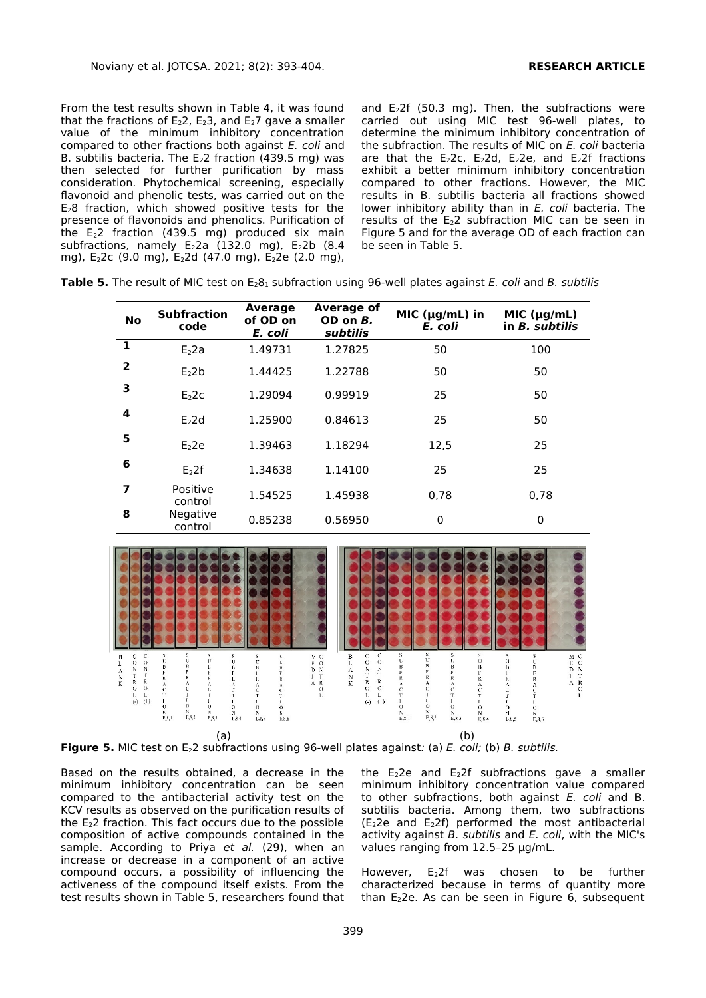From the test results shown in Table 4, it was found that the fractions of  $E_2$ 2,  $E_2$ 3, and  $E_2$ 7 gave a smaller value of the minimum inhibitory concentration compared to other fractions both against E. coli and B. subtilis bacteria. The  $E<sub>2</sub>2$  fraction (439.5 mg) was then selected for further purification by mass consideration. Phytochemical screening, especially flavonoid and phenolic tests, was carried out on the  $E_2$ 8 fraction, which showed positive tests for the presence of flavonoids and phenolics. Purification of the E22 fraction (439.5 mg) produced six main subfractions, namely  $\mathsf{E}_2$ 2a (132.0 mg),  $\mathsf{E}_2$ 2b (8.4 mg), E<sub>2</sub>2c (9.0 mg), E<sub>2</sub>2d (47.0 mg), E<sub>2</sub>2e (2.0 mg),

and  $E_2$ 2f (50.3 mg). Then, the subfractions were carried out using MIC test 96-well plates, to determine the minimum inhibitory concentration of the subfraction. The results of MIC on E. coli bacteria are that the  $E_2$ 2c,  $E_2$ 2d,  $E_2$ 2e, and  $E_2$ 2f fractions exhibit a better minimum inhibitory concentration compared to other fractions. However, the MIC results in B. subtilis bacteria all fractions showed lower inhibitory ability than in E. coli bacteria. The results of the  $E_2$ 2 subfraction MIC can be seen in Figure 5 and for the average OD of each fraction can be seen in Table 5.

| <b>Table 5.</b> The result of MIC test on E <sub>2</sub> 8 <sub>1</sub> subfraction using 96-well plates against E. coli and B. subtilis |  |
|------------------------------------------------------------------------------------------------------------------------------------------|--|
|------------------------------------------------------------------------------------------------------------------------------------------|--|

| <b>No</b>      | <b>Subfraction</b><br>code | Average<br>of OD on<br>E. coli | Average of<br>OD on B.<br>subtilis | MIC ( $\mu$ g/mL) in<br>E. coli | MIC (µg/mL)<br>in <i>B.</i> subtilis |
|----------------|----------------------------|--------------------------------|------------------------------------|---------------------------------|--------------------------------------|
| 1              | $E2$ 2a                    | 1.49731                        | 1.27825                            | 50                              | 100                                  |
| $\overline{2}$ | E <sub>2</sub> 2b          | 1.44425                        | 1.22788                            | 50                              | 50                                   |
| 3              | E <sub>2</sub> 2c          | 1.29094                        | 0.99919                            | 25                              | 50                                   |
| 4              | $E2$ 2d                    | 1.25900                        | 0.84613                            | 25                              | 50                                   |
| 5              | E <sub>2</sub>             | 1.39463                        | 1.18294                            | 12,5                            | 25                                   |
| 6              | E <sub>2</sub> 2f          | 1.34638                        | 1.14100                            | 25                              | 25                                   |
| 7              | Positive<br>control        | 1.54525                        | 1.45938                            | 0.78                            | 0.78                                 |
| 8              | Negative<br>control        | 0.85238                        | 0.56950                            | 0                               | 0                                    |



**Figure 5.** MIC test on E<sub>2</sub>2 subfractions using 96-well plates against: (a) E. coli; (b) B. subtilis.

Based on the results obtained, a decrease in the minimum inhibitory concentration can be seen compared to the antibacterial activity test on the KCV results as observed on the purification results of the E22 fraction. This fact occurs due to the possible composition of active compounds contained in the sample. According to Priya et al. (29), when an increase or decrease in a component of an active compound occurs, a possibility of influencing the activeness of the compound itself exists. From the test results shown in Table 5, researchers found that the  $E_2$ 2e and  $E_2$ 2f subfractions gave a smaller minimum inhibitory concentration value compared to other subfractions, both against E. coli and B. subtilis bacteria. Among them, two subfractions  $(E<sub>2</sub>2e$  and  $E<sub>2</sub>2f)$  performed the most antibacterial activity against  $B$ . subtilis and  $E$ . coli, with the MIC's values ranging from 12.5–25 µg/mL.

However, E22f was chosen to be further characterized because in terms of quantity more than  $E<sub>2</sub>2e$ . As can be seen in Figure 6, subsequent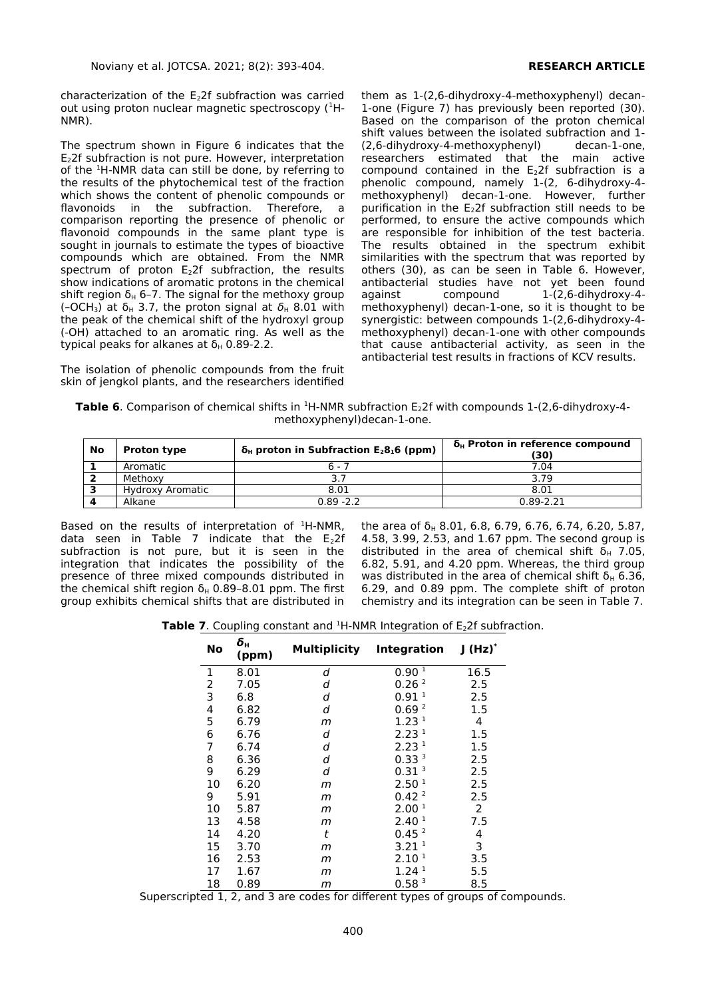characterization of the  $E<sub>2</sub>2f$  subfraction was carried out using proton nuclear magnetic spectroscopy (<sup>1</sup>H-NMR).

The spectrum shown in Figure 6 indicates that the E22f subfraction is not pure. However, interpretation of the <sup>1</sup>H-NMR data can still be done, by referring to the results of the phytochemical test of the fraction which shows the content of phenolic compounds or flavonoids in the subfraction. Therefore, a comparison reporting the presence of phenolic or flavonoid compounds in the same plant type is sought in journals to estimate the types of bioactive compounds which are obtained. From the NMR spectrum of proton E22f subfraction, the results show indications of aromatic protons in the chemical shift region  $\delta_H$  6–7. The signal for the methoxy group (-OCH<sub>3</sub>) at  $\delta_H$  3.7, the proton signal at  $\delta_H$  8.01 with the peak of the chemical shift of the hydroxyl group (-OH) attached to an aromatic ring. As well as the typical peaks for alkanes at  $δ<sub>H</sub>$  0.89-2.2.

The isolation of phenolic compounds from the fruit skin of jengkol plants, and the researchers identified

them as 1-(2,6-dihydroxy-4-methoxyphenyl) decan-1-one (Figure 7) has previously been reported (30). Based on the comparison of the proton chemical shift values between the isolated subfraction and 1- (2,6-dihydroxy-4-methoxyphenyl) decan-1-one, researchers estimated that the main active compound contained in the  $E<sub>2</sub>2f$  subfraction is a phenolic compound, namely 1-(2, 6-dihydroxy-4 methoxyphenyl) decan-1-one. However, further purification in the  $E<sub>2</sub>2f$  subfraction still needs to be performed, to ensure the active compounds which are responsible for inhibition of the test bacteria. The results obtained in the spectrum exhibit similarities with the spectrum that was reported by others (30), as can be seen in Table 6. However, antibacterial studies have not yet been found against compound 1-(2,6-dihydroxy-4methoxyphenyl) decan-1-one, so it is thought to be synergistic: between compounds 1-(2,6-dihydroxy-4 methoxyphenyl) decan-1-one with other compounds that cause antibacterial activity, as seen in the antibacterial test results in fractions of KCV results.

**Table 6**. Comparison of chemical shifts in <sup>1</sup>H-NMR subfraction E<sub>2</sub>2f with compounds 1-(2,6-dihydroxy-4methoxyphenyl)decan-1-one.

| No | <b>Proton type</b> | $\delta_{H}$ proton in Subfraction E <sub>2</sub> 8 <sub>1</sub> 6 (ppm) | $\delta_{\rm H}$ Proton in reference compound<br>(30) |
|----|--------------------|--------------------------------------------------------------------------|-------------------------------------------------------|
|    | Aromatic           | $6 - 7$                                                                  | 7.04                                                  |
|    | Methoxy            | 3.7                                                                      | 3.79                                                  |
|    | Hydroxy Aromatic   | 8.01                                                                     | 8.01                                                  |
|    | Alkane             | $0.89 - 2.2$                                                             | $0.89 - 2.21$                                         |

Based on the results of interpretation of  $H-MMR$ , data seen in Table 7 indicate that the  $\mathsf{E}_2$ 2f subfraction is not pure, but it is seen in the integration that indicates the possibility of the presence of three mixed compounds distributed in the chemical shift region  $δ_H$  0.89-8.01 ppm. The first group exhibits chemical shifts that are distributed in

the area of  $\delta_H$  8.01, 6.8, 6.79, 6.76, 6.74, 6.20, 5.87, 4.58, 3.99, 2.53, and 1.67 ppm. The second group is distributed in the area of chemical shift  $\delta_H$  7.05, 6.82, 5.91, and 4.20 ppm. Whereas, the third group was distributed in the area of chemical shift  $δ_H$  6.36, 6.29, and 0.89 ppm. The complete shift of proton chemistry and its integration can be seen in Table 7.

**Table 7**. Coupling constant and <sup>1</sup>H-NMR Integration of E<sub>2</sub>2f subfraction.

| No | $\boldsymbol{\delta}_{\sf H}$<br>(ppm) | Multiplicity | Integration       | $I(Hz)^*$      |
|----|----------------------------------------|--------------|-------------------|----------------|
| 1  | 8.01                                   | d            | 0.90 <sup>1</sup> | 16.5           |
| 2  | 7.05                                   | d            | 0.26 <sup>2</sup> | 2.5            |
| 3  | 6.8                                    | d            | 0.91 <sup>1</sup> | 2.5            |
| 4  | 6.82                                   | d            | 0.69 <sup>2</sup> | 1.5            |
| 5  | 6.79                                   | m            | 1.23 <sup>1</sup> | 4              |
| 6  | 6.76                                   | d            | 2.23 <sup>1</sup> | 1.5            |
| 7  | 6.74                                   | d            | 2.23 <sup>1</sup> | 1.5            |
| 8  | 6.36                                   | d            | 0.33 <sup>3</sup> | 2.5            |
| 9  | 6.29                                   | d            | 0.31 <sup>3</sup> | 2.5            |
| 10 | 6.20                                   | m            | 2.50 <sup>1</sup> | 2.5            |
| 9  | 5.91                                   | m            | 0.42 <sup>2</sup> | 2.5            |
| 10 | 5.87                                   | m            | 2.00 <sup>1</sup> | $\overline{2}$ |
| 13 | 4.58                                   | m            | 2.40 <sup>1</sup> | 7.5            |
| 14 | 4.20                                   | t            | 0.45 <sup>2</sup> | 4              |
| 15 | 3.70                                   | m            | 3.21 <sup>1</sup> | 3              |
| 16 | 2.53                                   | m            | 2.10 <sup>1</sup> | 3.5            |
| 17 | 1.67                                   | m            | 1.24 <sup>1</sup> | 5.5            |
| 18 | 0.89                                   | m            | 0.58 <sup>3</sup> | 8.5            |

Superscripted 1, 2, and 3 are codes for different types of groups of compounds.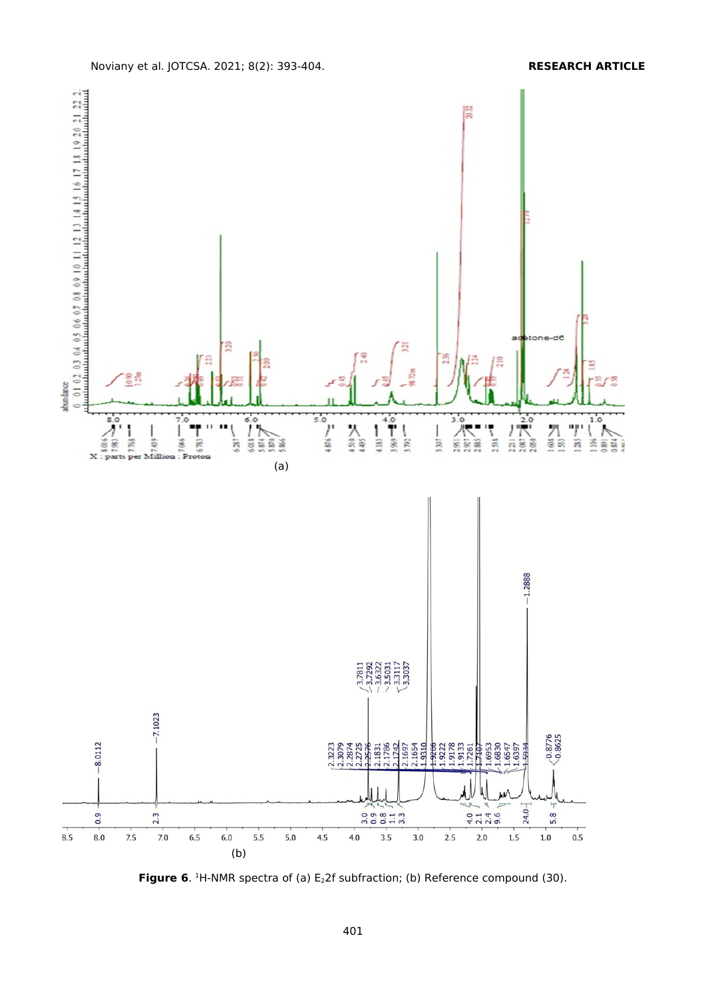

**Figure 6.** <sup>1</sup>H-NMR spectra of (a) E<sub>2</sub>2f subfraction; (b) Reference compound (30).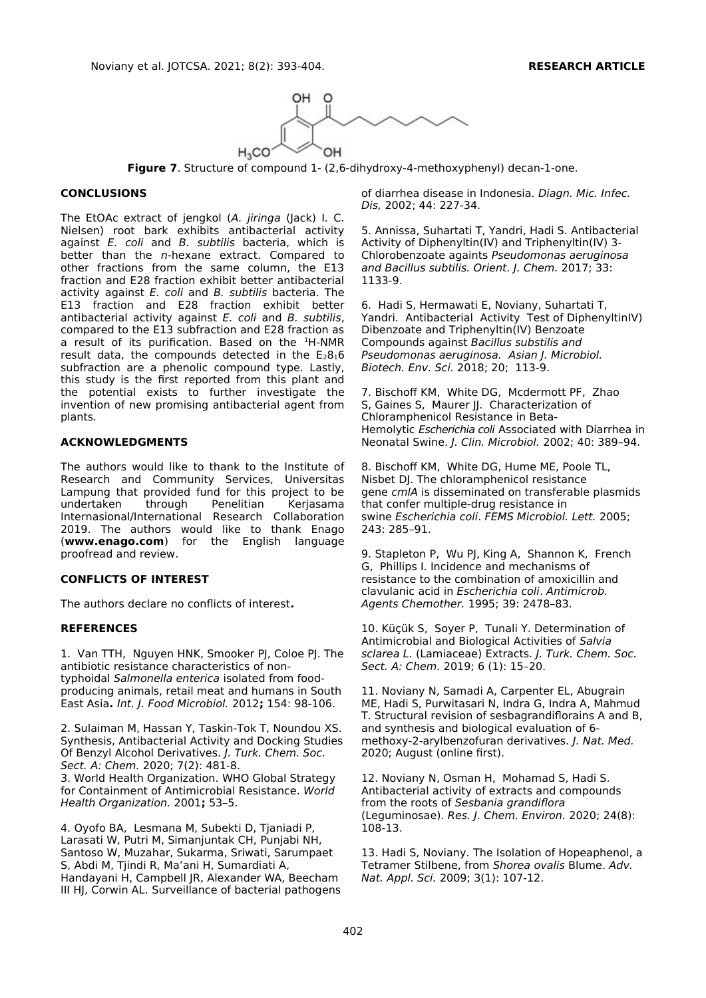

**Figure 7**. Structure of compound 1- (2,6-dihydroxy-4-methoxyphenyl) decan-1-one.

### **CONCLUSIONS**

The EtOAc extract of jengkol (A. jiringa (Jack) I. C. Nielsen) root bark exhibits antibacterial activity against E. coli and B. subtilis bacteria, which is better than the n-hexane extract. Compared to other fractions from the same column, the E13 fraction and E28 fraction exhibit better antibacterial activity against E. coli and B. subtilis bacteria. The E13 fraction and E28 fraction exhibit better antibacterial activity against E. coli and B. subtilis, compared to the E13 subfraction and E28 fraction as a result of its purification. Based on the  $^1$ H-NMR result data, the compounds detected in the  $E_28_16$ subfraction are a phenolic compound type. Lastly, this study is the first reported from this plant and the potential exists to further investigate the invention of new promising antibacterial agent from plants.

### **ACKNOWLEDGMENTS**

The authors would like to thank to the Institute of Research and Community Services, Universitas Lampung that provided fund for this project to be undertaken through Penelitian Kerjasama Internasional/International Research Collaboration 2019. The authors would like to thank Enago (**[www.enago.com](chrome-extension://flock.co/client_base/apps/conversation/www.enago.com)**) for the English language proofread and review.

# **CONFLICTS OF INTEREST**

The authors declare no conflicts of interest**.**

# **REFERENCES**

1. Van TTH, Nguyen HNK, Smooker PJ, Coloe PJ. The antibiotic resistance characteristics of nontyphoidal Salmonella enterica isolated from foodproducing animals, retail meat and humans in South East Asia**.** Int. J. Food Microbiol. 2012**;** 154: 98-106.

2. Sulaiman M, Hassan Y, Taskin-Tok T, Noundou XS. Synthesis, Antibacterial Activity and Docking Studies Of Benzyl Alcohol Derivatives. J. Turk. Chem. Soc. Sect. A: Chem. 2020; 7(2): 481-8.

3. World Health Organization. WHO Global Strategy for Containment of Antimicrobial Resistance. World Health Organization. 2001**;** 53–5.

4. Oyofo BA, Lesmana M, Subekti D, Tjaniadi P, Larasati W, Putri M, Simanjuntak CH, Punjabi NH, Santoso W, Muzahar, Sukarma, Sriwati, Sarumpaet S, Abdi M, Tjindi R, Ma'ani H, Sumardiati A, Handayani H, Campbell JR, Alexander WA, Beecham III HJ, Corwin AL. Surveillance of bacterial pathogens

of diarrhea disease in Indonesia. Diagn. Mic. Infec. Dis, 2002; 44: 227-34.

5. Annissa, Suhartati T, Yandri, Hadi S. Antibacterial Activity of Diphenyltin(IV) and Triphenyltin(IV) 3- Chlorobenzoate againts Pseudomonas aeruginosa and Bacillus subtilis. Orient. J. Chem. 2017; 33: 1133-9.

6. Hadi S, Hermawati E, Noviany, Suhartati T, Yandri. Antibacterial Activity Test of DiphenyltinIV) Dibenzoate and Triphenyltin(IV) Benzoate Compounds against Bacillus substilis and Pseudomonas aeruginosa. Asian J. Microbiol. Biotech. Env. Sci. 2018; 20; 113-9.

7. Bischoff KM, White DG, Mcdermott PF, Zhao S, Gaines S, Maurer JJ. Characterization of Chloramphenicol Resistance in Beta-Hemolytic Escherichia coli Associated with Diarrhea in Neonatal Swine. J. Clin. Microbiol. 2002; 40: 389–94.

8. Bischoff KM, White DG, Hume ME, Poole TL, Nisbet DJ. The chloramphenicol resistance gene cmlA is disseminated on transferable plasmids that confer multiple-drug resistance in swine Escherichia coli. FEMS Microbiol. Lett. 2005; 243: 285–91.

9. Stapleton P, Wu PJ, King A, Shannon K, French G, Phillips I. Incidence and mechanisms of resistance to the combination of amoxicillin and clavulanic acid in Escherichia coli. Antimicrob. Agents Chemother. 1995; 39: 2478–83.

10. Küçük S, Soyer P, Tunali Y. Determination of Antimicrobial and Biological Activities of Salvia sclarea L. (Lamiaceae) Extracts. J. Turk. Chem. Soc. Sect. A: Chem. 2019; 6 (1): 15–20.

11. Noviany N, Samadi A, Carpenter EL, Abugrain ME, Hadi S, Purwitasari N, Indra G, Indra A, Mahmud T. Structural revision of sesbagrandiflorains A and B, and synthesis and biological evaluation of 6 methoxy-2-arylbenzofuran derivatives. J. Nat. Med. 2020; August (online first).

12. Noviany N, Osman [H,](https://www.scopus.com/authid/detail.uri?authorId=57205288200) [Mo](https://www.scopus.com/authid/detail.uri?authorId=57219869771)hamad S, [Hadi S.](https://www.scopus.com/authid/detail.uri?authorId=57219870824) Antibacterial activity of extracts and compounds from the roots of Sesbania grandiflora (Leguminosae). Res. J. Chem. Environ. 2020; 24(8): 108-13.

13. Hadi S, Noviany. The Isolation of Hopeaphenol, a Tetramer Stilbene, from Shorea ovalis Blume. Adv. Nat. Appl. Sci. 2009; 3(1): 107-12.